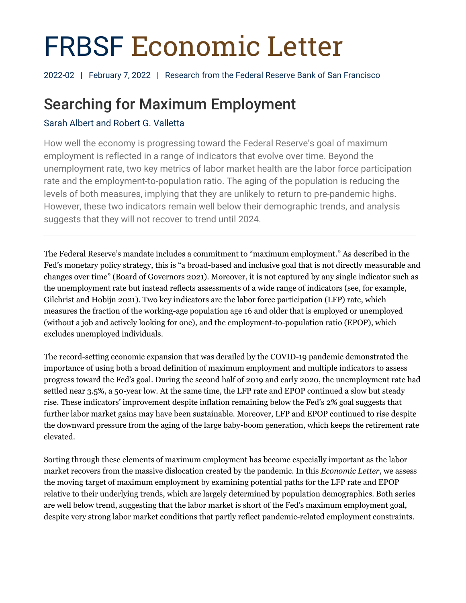# FRBSF Economic Letter

2022-02 | February 7, 2022 | Research from the Federal Reserve Bank of San Francisco

## Searching for Maximum Employment

### Sarah Albert and Robert G. Valletta

How well the economy is progressing toward the Federal Reserve's goal of maximum employment is reflected in a range of indicators that evolve over time. Beyond the unemployment rate, two key metrics of labor market health are the labor force participation rate and the employment-to-population ratio. The aging of the population is reducing the levels of both measures, implying that they are unlikely to return to pre-pandemic highs. However, these two indicators remain well below their demographic trends, and analysis suggests that they will not recover to trend until 2024.

The Federal Reserve's mandate includes a commitment to "maximum employment." As described in the Fed's monetary policy strategy, this is "a broad-based and inclusive goal that is not directly measurable and changes over time" (Board of Governors 2021). Moreover, it is not captured by any single indicator such as the unemployment rate but instead reflects assessments of a wide range of indicators (see, for example, Gilchrist and Hobijn 2021). Two key indicators are the labor force participation (LFP) rate, which measures the fraction of the working-age population age 16 and older that is employed or unemployed (without a job and actively looking for one), and the employment-to-population ratio (EPOP), which excludes unemployed individuals.

The record-setting economic expansion that was derailed by the COVID-19 pandemic demonstrated the importance of using both a broad definition of maximum employment and multiple indicators to assess progress toward the Fed's goal. During the second half of 2019 and early 2020, the unemployment rate had settled near 3.5%, a 50-year low. At the same time, the LFP rate and EPOP continued a slow but steady rise. These indicators' improvement despite inflation remaining below the Fed's 2% goal suggests that further labor market gains may have been sustainable. Moreover, LFP and EPOP continued to rise despite the downward pressure from the aging of the large baby-boom generation, which keeps the retirement rate elevated.

Sorting through these elements of maximum employment has become especially important as the labor market recovers from the massive dislocation created by the pandemic. In this *Economic Letter*, we assess the moving target of maximum employment by examining potential paths for the LFP rate and EPOP relative to their underlying trends, which are largely determined by population demographics. Both series are well below trend, suggesting that the labor market is short of the Fed's maximum employment goal, despite very strong labor market conditions that partly reflect pandemic-related employment constraints.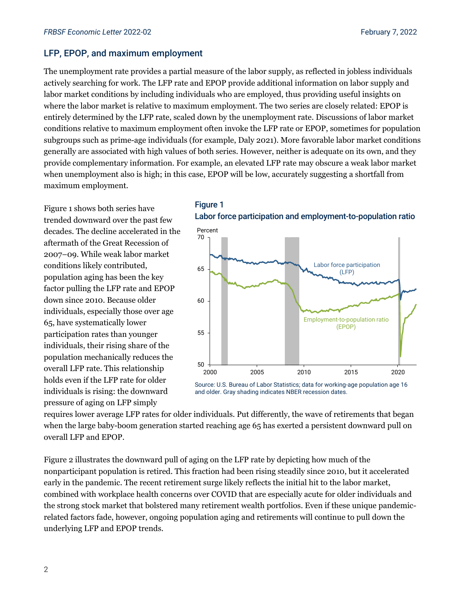#### LFP, EPOP, and maximum employment

The unemployment rate provides a partial measure of the labor supply, as reflected in jobless individuals actively searching for work. The LFP rate and EPOP provide additional information on labor supply and labor market conditions by including individuals who are employed, thus providing useful insights on where the labor market is relative to maximum employment. The two series are closely related: EPOP is entirely determined by the LFP rate, scaled down by the unemployment rate. Discussions of labor market conditions relative to maximum employment often invoke the LFP rate or EPOP, sometimes for population subgroups such as prime-age individuals (for example, Daly 2021). More favorable labor market conditions generally are associated with high values of both series. However, neither is adequate on its own, and they provide complementary information. For example, an elevated LFP rate may obscure a weak labor market when unemployment also is high; in this case, EPOP will be low, accurately suggesting a shortfall from maximum employment.

Figure 1 shows both series have trended downward over the past few decades. The decline accelerated in the aftermath of the Great Recession of 2007–09. While weak labor market conditions likely contributed, population aging has been the key factor pulling the LFP rate and EPOP down since 2010. Because older individuals, especially those over age 65, have systematically lower participation rates than younger individuals, their rising share of the population mechanically reduces the overall LFP rate. This relationship holds even if the LFP rate for older individuals is rising: the downward pressure of aging on LFP simply





Source: U.S. Bureau of Labor Statistics; data for working-age population age 16 and older. Gray shading indicates NBER recession dates.

requires lower average LFP rates for older individuals. Put differently, the wave of retirements that began when the large baby-boom generation started reaching age 65 has exerted a persistent downward pull on overall LFP and EPOP.

Figure 2 illustrates the downward pull of aging on the LFP rate by depicting how much of the nonparticipant population is retired. This fraction had been rising steadily since 2010, but it accelerated early in the pandemic. The recent retirement surge likely reflects the initial hit to the labor market, combined with workplace health concerns over COVID that are especially acute for older individuals and the strong stock market that bolstered many retirement wealth portfolios. Even if these unique pandemicrelated factors fade, however, ongoing population aging and retirements will continue to pull down the underlying LFP and EPOP trends.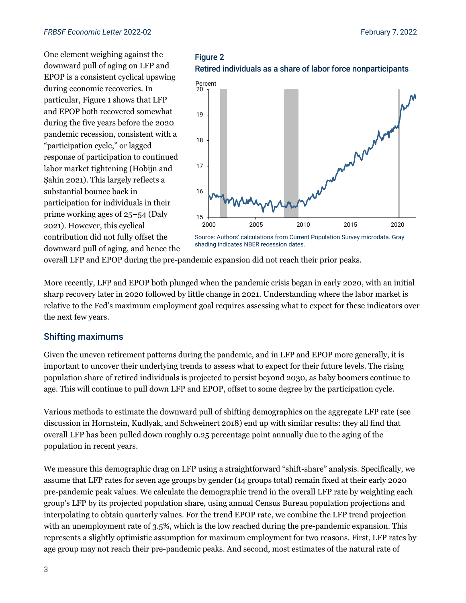One element weighing against the downward pull of aging on LFP and EPOP is a consistent cyclical upswing during economic recoveries. In particular, Figure 1 shows that LFP and EPOP both recovered somewhat during the five years before the 2020 pandemic recession, consistent with a "participation cycle," or lagged response of participation to continued labor market tightening (Hobijn and Şahin 2021). This largely reflects a substantial bounce back in participation for individuals in their prime working ages of 25–54 (Daly 2021). However, this cyclical contribution did not fully offset the downward pull of aging, and hence the





shading indicates NBER recession dates.

overall LFP and EPOP during the pre-pandemic expansion did not reach their prior peaks.

More recently, LFP and EPOP both plunged when the pandemic crisis began in early 2020, with an initial sharp recovery later in 2020 followed by little change in 2021. Understanding where the labor market is relative to the Fed's maximum employment goal requires assessing what to expect for these indicators over the next few years.

#### Shifting maximums

Given the uneven retirement patterns during the pandemic, and in LFP and EPOP more generally, it is important to uncover their underlying trends to assess what to expect for their future levels. The rising population share of retired individuals is projected to persist beyond 2030, as baby boomers continue to age. This will continue to pull down LFP and EPOP, offset to some degree by the participation cycle.

Various methods to estimate the downward pull of shifting demographics on the aggregate LFP rate (see discussion in Hornstein, Kudlyak, and Schweinert 2018) end up with similar results: they all find that overall LFP has been pulled down roughly 0.25 percentage point annually due to the aging of the population in recent years.

We measure this demographic drag on LFP using a straightforward "shift-share" analysis. Specifically, we assume that LFP rates for seven age groups by gender (14 groups total) remain fixed at their early 2020 pre-pandemic peak values. We calculate the demographic trend in the overall LFP rate by weighting each group's LFP by its projected population share, using annual Census Bureau population projections and interpolating to obtain quarterly values. For the trend EPOP rate, we combine the LFP trend projection with an unemployment rate of 3.5%, which is the low reached during the pre-pandemic expansion. This represents a slightly optimistic assumption for maximum employment for two reasons. First, LFP rates by age group may not reach their pre-pandemic peaks. And second, most estimates of the natural rate of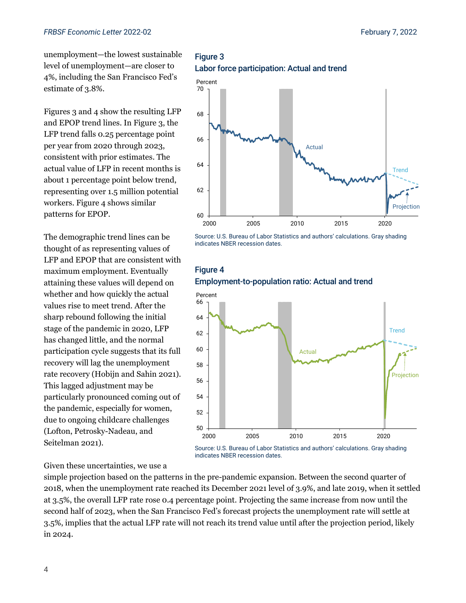unemployment—the lowest sustainable level of unemployment—are closer to 4%, including the San Francisco Fed's estimate of 3.8%.

Figures 3 and 4 show the resulting LFP and EPOP trend lines. In Figure 3, the LFP trend falls 0.25 percentage point per year from 2020 through 2023, consistent with prior estimates. The actual value of LFP in recent months is about 1 percentage point below trend, representing over 1.5 million potential workers. Figure 4 shows similar patterns for EPOP.

The demographic trend lines can be thought of as representing values of LFP and EPOP that are consistent with maximum employment. Eventually attaining these values will depend on whether and how quickly the actual values rise to meet trend. After the sharp rebound following the initial stage of the pandemic in 2020, LFP has changed little, and the normal participation cycle suggests that its full recovery will lag the unemployment rate recovery (Hobijn and Sahin 2021). This lagged adjustment may be particularly pronounced coming out of the pandemic, especially for women, due to ongoing childcare challenges (Lofton, Petrosky-Nadeau, and Seitelman 2021).

Given these uncertainties, we use a

simple projection based on the patterns in the pre-pandemic expansion. Between the second quarter of 2018, when the unemployment rate reached its December 2021 level of 3.9%, and late 2019, when it settled at 3.5%, the overall LFP rate rose 0.4 percentage point. Projecting the same increase from now until the second half of 2023, when the San Francisco Fed's forecast projects the unemployment rate will settle at 3.5%, implies that the actual LFP rate will not reach its trend value until after the projection period, likely in 2024.

indicates NBER recession dates.

#### Figure 3 Labor force participation: Actual and trend



Source: U.S. Bureau of Labor Statistics and authors' calculations. Gray shading indicates NBER recession dates.

#### **Figure 4** Employment-to-population ratio: Actual and trend



4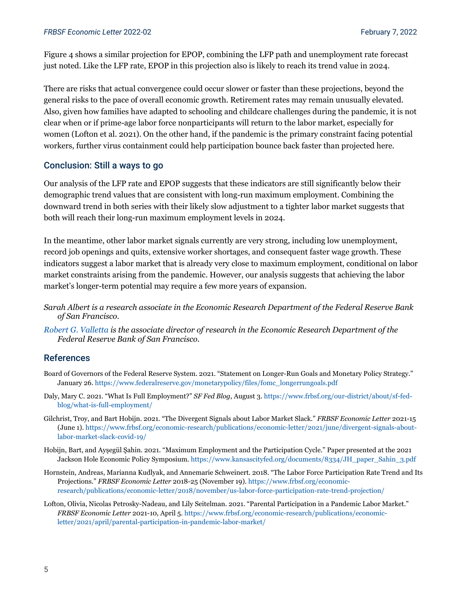Figure 4 shows a similar projection for EPOP, combining the LFP path and unemployment rate forecast just noted. Like the LFP rate, EPOP in this projection also is likely to reach its trend value in 2024.

There are risks that actual convergence could occur slower or faster than these projections, beyond the general risks to the pace of overall economic growth. Retirement rates may remain unusually elevated. Also, given how families have adapted to schooling and childcare challenges during the pandemic, it is not clear when or if prime-age labor force nonparticipants will return to the labor market, especially for women (Lofton et al. 2021). On the other hand, if the pandemic is the primary constraint facing potential workers, further virus containment could help participation bounce back faster than projected here.

#### Conclusion: Still a ways to go

Our analysis of the LFP rate and EPOP suggests that these indicators are still significantly below their demographic trend values that are consistent with long-run maximum employment. Combining the downward trend in both series with their likely slow adjustment to a tighter labor market suggests that both will reach their long-run maximum employment levels in 2024.

In the meantime, other labor market signals currently are very strong, including low unemployment, record job openings and quits, extensive worker shortages, and consequent faster wage growth. These indicators suggest a labor market that is already very close to maximum employment, conditional on labor market constraints arising from the pandemic. However, our analysis suggests that achieving the labor market's longer-term potential may require a few more years of expansion.

- *Sarah Albert is a research associate in the Economic Research Department of the Federal Reserve Bank of San Francisco.*
- *[Robert G.](https://www.frbsf.org/economic-research/economists/robert-valletta/) Valletta is the associate director of research in the Economic Research Department of the Federal Reserve Bank of San Francisco.*

#### References

- Board of Governors of the Federal Reserve System. 2021. "Statement on Longer-Run Goals and Monetary Policy Strategy." January 26. [https://www.federalreserve.gov/monetarypolicy/files/fomc\\_longerrungoals.pdf](https://www.federalreserve.gov/monetarypolicy/files/fomc_longerrungoals.pdf)
- Daly, Mary C. 2021. "What Is Full Employment?" *SF Fed Blog*, August 3. [https://www.frbsf.org/our-district/about/sf-fed](https://www.frbsf.org/our-district/about/sf-fed-blog/what-is-full-employment/)[blog/what-is-full-employment/](https://www.frbsf.org/our-district/about/sf-fed-blog/what-is-full-employment/)
- Gilchrist, Troy, and Bart Hobijn. 2021. "The Divergent Signals about Labor Market Slack." *FRBSF Economic Letter* 2021-15 (June 1)[. https://www.frbsf.org/economic-research/publications/economic-letter/2021/june/divergent-signals-about](https://www.frbsf.org/economic-research/publications/economic-letter/2021/june/divergent-signals-about-labor-market-slack-covid-19/)[labor-market-slack-covid-19/](https://www.frbsf.org/economic-research/publications/economic-letter/2021/june/divergent-signals-about-labor-market-slack-covid-19/)
- Hobijn, Bart, and Ayşegül Şahin. 2021. "Maximum Employment and the Participation Cycle." Paper presented at the 2021 Jackson Hole Economic Policy Symposium. [https://www.kansascityfed.org/documents/8334/JH\\_paper\\_Sahin\\_3.pdf](https://www.kansascityfed.org/documents/8334/JH_paper_Sahin_3.pdf)
- Hornstein, Andreas, Marianna Kudlyak, and Annemarie Schweinert. 2018. "The Labor Force Participation Rate Trend and Its Projections." *FRBSF Economic Letter* 2018-25 (November 19)[. https://www.frbsf.org/economic](https://www.frbsf.org/economic-research/publications/economic-letter/2018/november/us-labor-force-participation-rate-trend-projection/)[research/publications/economic-letter/2018/november/us-labor-force-participation-rate-trend-projection/](https://www.frbsf.org/economic-research/publications/economic-letter/2018/november/us-labor-force-participation-rate-trend-projection/)
- Lofton, Olivia, Nicolas Petrosky-Nadeau, and Lily Seitelman. 2021. "Parental Participation in a Pandemic Labor Market." *FRBSF Economic Letter* 2021-10, April 5[. https://www.frbsf.org/economic-research/publications/economic](https://www.frbsf.org/economic-research/publications/economic-letter/2021/april/parental-participation-in-pandemic-labor-market/)[letter/2021/april/parental-participation-in-pandemic-labor-market/](https://www.frbsf.org/economic-research/publications/economic-letter/2021/april/parental-participation-in-pandemic-labor-market/)